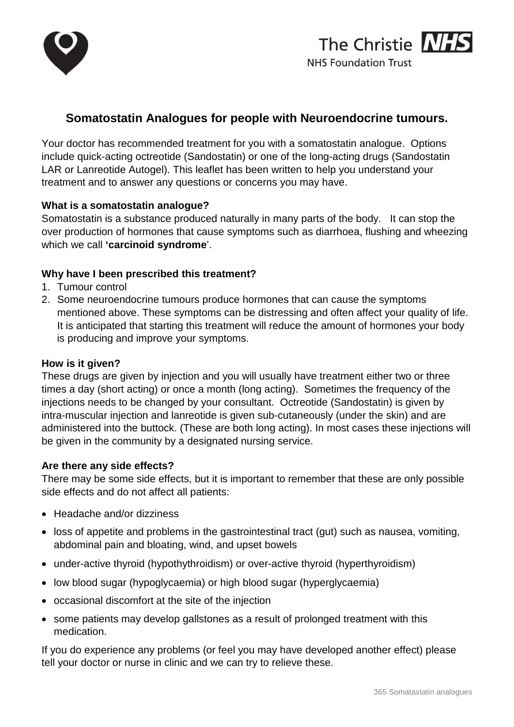



# **Somatostatin Analogues for people with Neuroendocrine tumours.**

Your doctor has recommended treatment for you with a somatostatin analogue. Options include quick-acting octreotide (Sandostatin) or one of the long-acting drugs (Sandostatin LAR or Lanreotide Autogel). This leaflet has been written to help you understand your treatment and to answer any questions or concerns you may have.

#### **What is a somatostatin analogue?**

Somatostatin is a substance produced naturally in many parts of the body. It can stop the over production of hormones that cause symptoms such as diarrhoea, flushing and wheezing which we call **'carcinoid syndrome**'.

#### **Why have I been prescribed this treatment?**

- 1. Tumour control
- 2. Some neuroendocrine tumours produce hormones that can cause the symptoms mentioned above. These symptoms can be distressing and often affect your quality of life. It is anticipated that starting this treatment will reduce the amount of hormones your body is producing and improve your symptoms.

#### **How is it given?**

These drugs are given by injection and you will usually have treatment either two or three times a day (short acting) or once a month (long acting). Sometimes the frequency of the injections needs to be changed by your consultant. Octreotide (Sandostatin) is given by intra-muscular injection and lanreotide is given sub-cutaneously (under the skin) and are administered into the buttock. (These are both long acting). In most cases these injections will be given in the community by a designated nursing service.

#### **Are there any side effects?**

There may be some side effects, but it is important to remember that these are only possible side effects and do not affect all patients:

- Headache and/or dizziness
- loss of appetite and problems in the gastrointestinal tract (gut) such as nausea, vomiting, abdominal pain and bloating, wind, and upset bowels
- under-active thyroid (hypothythroidism) or over-active thyroid (hyperthyroidism)
- low blood sugar (hypoglycaemia) or high blood sugar (hyperglycaemia)
- occasional discomfort at the site of the injection
- some patients may develop gallstones as a result of prolonged treatment with this medication.

If you do experience any problems (or feel you may have developed another effect) please tell your doctor or nurse in clinic and we can try to relieve these.